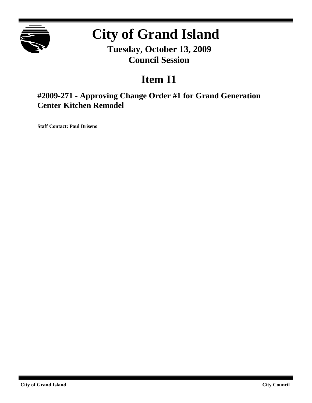

# **City of Grand Island**

**Tuesday, October 13, 2009 Council Session**

# **Item I1**

**#2009-271 - Approving Change Order #1 for Grand Generation Center Kitchen Remodel**

**Staff Contact: Paul Briseno**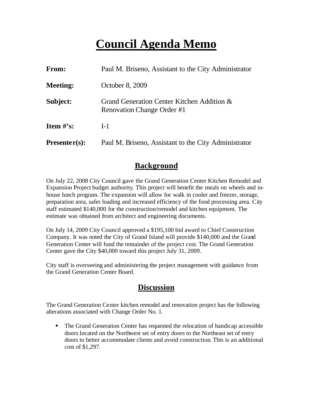# **Council Agenda Memo**

| From:           | Paul M. Briseno, Assistant to the City Administrator                     |
|-----------------|--------------------------------------------------------------------------|
| <b>Meeting:</b> | October 8, 2009                                                          |
| Subject:        | Grand Generation Center Kitchen Addition &<br>Renovation Change Order #1 |
| Item $\#$ 's:   | $I-1$                                                                    |
| $Presenter(s):$ | Paul M. Briseno, Assistant to the City Administrator                     |

### **Background**

On July 22, 2008 City Council gave the Grand Generation Center Kitchen Remodel and Expansion Project budget authority. This project will benefit the meals on wheels and inhouse lunch program. The expansion will allow for walk in cooler and freezer, storage, preparation area, safer loading and increased efficiency of the food processing area. City staff estimated \$140,000 for the construction/remodel and kitchen equipment. The estimate was obtained from architect and engineering documents.

On July 14, 2009 City Council approved a \$195,100 bid award to Chief Construction Company. It was noted the City of Grand Island will provide \$140,000 and the Grand Generation Center will fund the remainder of the project cost. The Grand Generation Center gave the City \$40,000 toward this project July 31, 2009.

City staff is overseeing and administering the project management with guidance from the Grand Generation Center Board.

### **Discussion**

The Grand Generation Center kitchen remodel and renovation project has the following alterations associated with Change Order No. 1.

• The Grand Generation Center has requested the relocation of handicap accessible doors located on the Northwest set of entry doors to the Northeast set of entry doors to better accommodate clients and avoid construction. This is an additional cost of \$1,297.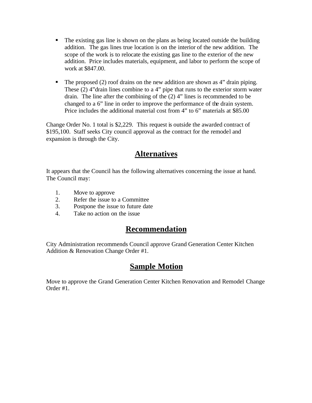- $\blacksquare$  The existing gas line is shown on the plans as being located outside the building addition. The gas lines true location is on the interior of the new addition. The scope of the work is to relocate the existing gas line to the exterior of the new addition. Price includes materials, equipment, and labor to perform the scope of work at \$847.00.
- $\blacksquare$  The proposed (2) roof drains on the new addition are shown as 4" drain piping. These (2) 4"drain lines combine to a 4" pipe that runs to the exterior storm water drain. The line after the combining of the (2) 4" lines is recommended to be changed to a 6" line in order to improve the performance of the drain system. Price includes the additional material cost from 4" to 6" materials at \$85.00

Change Order No. 1 total is \$2,229. This request is outside the awarded contract of \$195,100. Staff seeks City council approval as the contract for the remodel and expansion is through the City.

## **Alternatives**

It appears that the Council has the following alternatives concerning the issue at hand. The Council may:

- 1. Move to approve
- 2. Refer the issue to a Committee
- 3. Postpone the issue to future date
- 4. Take no action on the issue

## **Recommendation**

City Administration recommends Council approve Grand Generation Center Kitchen Addition & Renovation Change Order #1.

## **Sample Motion**

Move to approve the Grand Generation Center Kitchen Renovation and Remodel Change Order #1.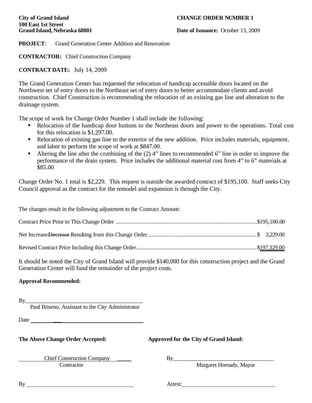# **100 East 1st Street**

#### **City of Grand Island CHANGE ORDER NUMBER 1**

**Grand Island, Nebraska 68801 Date of Issuance:** October 13, 2009

**PROJECT**: Grand Generation Center Addition and Renovation

**CONTRACTOR:** Chief Construction Company

#### **CONTRACT DATE:** July 14, 2009

The Grand Generation Center has requested the relocation of handicap accessible doors located on the Northwest set of entry doors to the Northeast set of entry doors to better accommodate clients and avoid construction. Chief Construction is recommending the relocation of an existing gas line and alteration to the drainage system.

The scope of work for Change Order Number 1 shall include the following:

- Relocation of the handicap door buttons to the Northeast doors and power to the operations. Total cost for this relocation is \$1,297.00.
- Relocation of existing gas line to the exterior of the new addition. Price includes materials, equipment, and labor to perform the scope of work at \$847.00.
- Altering the line after the combining of the  $(2)$  4" lines to recommended 6" line in order to improve the performance of the drain system. Price includes the additional material cost from 4" to 6" materials at \$85.00

Change Order No. 1 total is \$2,229. This request is outside the awarded contract of \$195,100. Staff seeks City Council approval as the contract for the remodel and expansion is through the City.

The changes result in the following adjustment to the Contract Amount:

It should be noted the City of Grand Island will provide \$140,000 for this construction project and the Grand Generation Center will fund the remainder of the project costs.

#### **Approval Recommended:**

 $By$ 

Paul Briseno, Assistant to the City Administrator

Date \_\_\_

**The Above Change Order Accepted: Approved for the City of Grand Island:**

 Chief Construction Company \_\_\_\_\_ By\_\_\_\_\_\_\_\_\_\_\_\_\_\_\_\_\_\_\_\_\_\_\_\_\_\_\_\_\_\_\_\_\_\_\_\_ **Contractor** Margaret Hornady, Mayor

By Attest: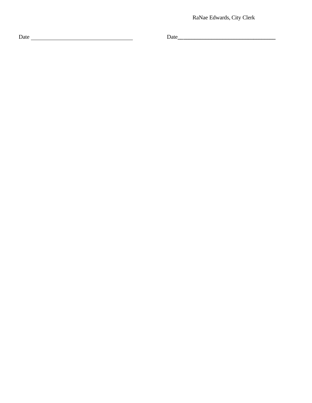RaNae Edwards, City Clerk

Date Date**\_\_**

**\_\_\_\_\_\_\_\_\_\_\_\_\_\_\_\_\_\_\_\_\_\_\_\_\_\_\_\_\_\_\_\_\_**